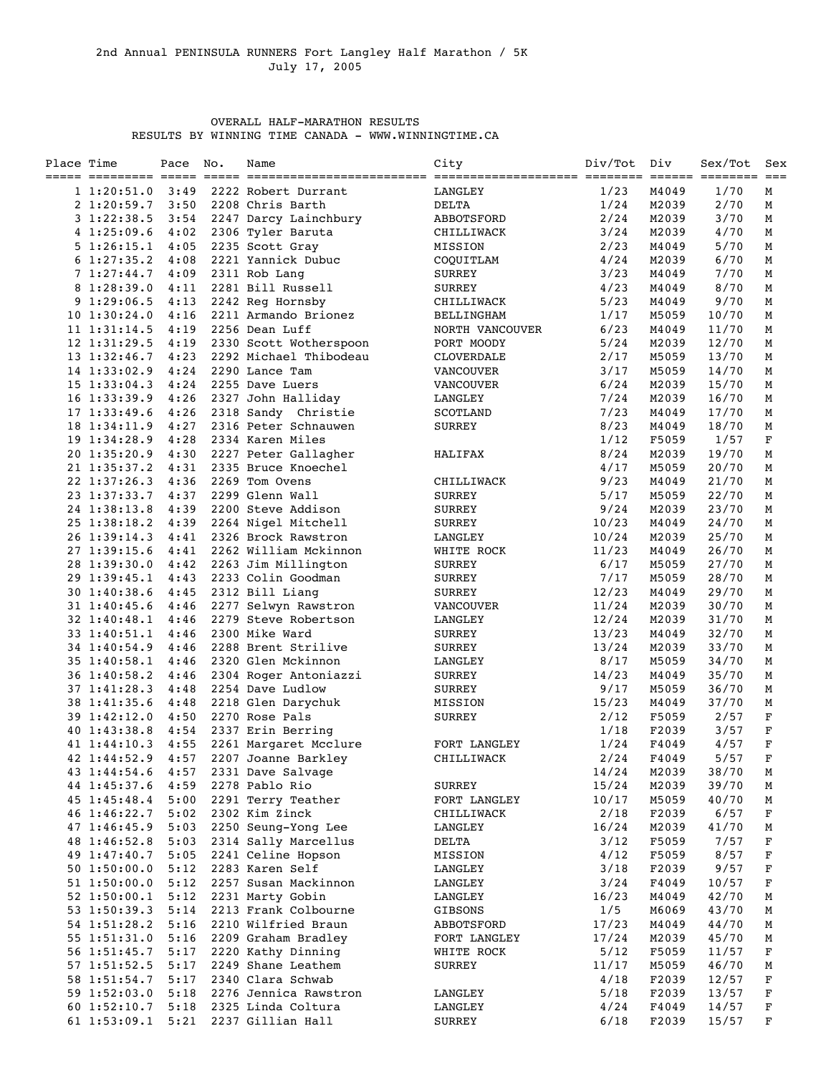## OVERALL HALF-MARATHON RESULTS RESULTS BY WINNING TIME CANADA - WWW.WINNINGTIME.CA

| Place Time |                   | Pace | No. | Name                   | City              | Div/Tot | Div   | Sex/Tot | Sex<br>$== =$ |
|------------|-------------------|------|-----|------------------------|-------------------|---------|-------|---------|---------------|
|            | 1 1:20:51.0       | 3:49 |     | 2222 Robert Durrant    | LANGLEY           | 1/23    | M4049 | 1/70    | М             |
|            | 21:20:59.7        | 3:50 |     | 2208 Chris Barth       | DELTA             | 1/24    | M2039 | 2/70    | М             |
|            | 31:22:38.5        | 3:54 |     | 2247 Darcy Lainchbury  | ABBOTSFORD        | 2/24    | M2039 | 3/70    | М             |
|            | 41:25:09.6        | 4:02 |     | 2306 Tyler Baruta      | CHILLIWACK        | 3/24    | M2039 | 4/70    | М             |
|            | 51:26:15.1        | 4:05 |     | 2235 Scott Gray        | MISSION           | 2/23    | M4049 | 5/70    | М             |
|            | 61:27:35.2        | 4:08 |     | 2221 Yannick Dubuc     | COQUITLAM         | 4/24    | M2039 | 6/70    | М             |
|            | 71:27:44.7        | 4:09 |     | 2311 Rob Lang          | <b>SURREY</b>     | 3/23    | M4049 | 7/70    | М             |
|            | 81:28:39.0        | 4:11 |     | 2281 Bill Russell      | <b>SURREY</b>     | 4/23    | M4049 | 8/70    | М             |
|            | 91:29:06.5        | 4:13 |     | 2242 Reg Hornsby       | CHILLIWACK        | 5/23    | M4049 | 9/70    | М             |
|            | $10 \; 1:30:24.0$ | 4:16 |     | 2211 Armando Brionez   | <b>BELLINGHAM</b> | 1/17    | M5059 | 10/70   | М             |
|            | $11 \; 1:31:14.5$ | 4:19 |     | 2256 Dean Luff         | NORTH VANCOUVER   | 6/23    | M4049 | 11/70   | М             |
|            | 12 1:31:29.5      | 4:19 |     | 2330 Scott Wotherspoon | PORT MOODY        | 5/24    | M2039 | 12/70   | М             |
|            | 13 1:32:46.7      | 4:23 |     | 2292 Michael Thibodeau | CLOVERDALE        | 2/17    | M5059 | 13/70   | М             |
|            | 14 1:33:02.9      | 4:24 |     | 2290 Lance Tam         | VANCOUVER         | 3/17    | M5059 | 14/70   | М             |
|            | $15$ $1:33:04.3$  | 4:24 |     | 2255 Dave Luers        | VANCOUVER         | 6/24    | M2039 | 15/70   | М             |
|            | $16$ $1:33:39.9$  | 4:26 |     | 2327 John Halliday     | LANGLEY           | 7/24    | M2039 | 16/70   | М             |
|            | 171:33:49.6       | 4:26 |     | 2318 Sandy Christie    | SCOTLAND          | 7/23    | M4049 | 17/70   | М             |
|            | 18 1:34:11.9      | 4:27 |     | 2316 Peter Schnauwen   | <b>SURREY</b>     | 8/23    | M4049 | 18/70   | М             |
|            | 19 1:34:28.9      | 4:28 |     | 2334 Karen Miles       |                   | 1/12    | F5059 | 1/57    | F             |
|            | 20 1:35:20.9      | 4:30 |     | 2227 Peter Gallagher   | HALIFAX           | 8/24    | M2039 | 19/70   | М             |
|            | 21 1:35:37.2      | 4:31 |     | 2335 Bruce Knoechel    |                   | 4/17    | M5059 | 20/70   | М             |
|            | 22 1:37:26.3      | 4:36 |     | 2269 Tom Ovens         | CHILLIWACK        | 9/23    | M4049 | 21/70   | М             |
|            | 23 1:37:33.7      | 4:37 |     | 2299 Glenn Wall        | <b>SURREY</b>     | 5/17    | M5059 | 22/70   | М             |
|            | 24 1:38:13.8      | 4:39 |     | 2200 Steve Addison     | <b>SURREY</b>     | 9/24    | M2039 | 23/70   | М             |
|            | 25 1:38:18.2      | 4:39 |     | 2264 Nigel Mitchell    | <b>SURREY</b>     | 10/23   | M4049 | 24/70   | М             |
|            | 26 1:39:14.3      | 4:41 |     | 2326 Brock Rawstron    | LANGLEY           | 10/24   | M2039 | 25/70   | М             |
|            | 27 1:39:15.6      | 4:41 |     | 2262 William Mckinnon  | WHITE ROCK        | 11/23   | M4049 | 26/70   | М             |
|            | 28 1:39:30.0      | 4:42 |     | 2263 Jim Millington    | <b>SURREY</b>     | 6/17    | M5059 | 27/70   | М             |
|            | 29 1:39:45.1      | 4:43 |     | 2233 Colin Goodman     | <b>SURREY</b>     | 7/17    | M5059 | 28/70   | М             |
|            | 30 1:40:38.6      | 4:45 |     | 2312 Bill Liang        | <b>SURREY</b>     | 12/23   | M4049 | 29/70   | М             |
|            | 31 1:40:45.6      | 4:46 |     | 2277 Selwyn Rawstron   | <b>VANCOUVER</b>  | 11/24   | M2039 | 30/70   | М             |
|            | 32 1:40:48.1      | 4:46 |     | 2279 Steve Robertson   | LANGLEY           | 12/24   | M2039 | 31/70   | М             |
|            | 33 1:40:51.1      | 4:46 |     | 2300 Mike Ward         | <b>SURREY</b>     | 13/23   | M4049 | 32/70   | М             |
|            | 34 1:40:54.9      | 4:46 |     | 2288 Brent Strilive    | <b>SURREY</b>     | 13/24   | M2039 | 33/70   | М             |
|            | 35 1:40:58.1      | 4:46 |     | 2320 Glen Mckinnon     | LANGLEY           | 8/17    | M5059 | 34/70   | М             |
|            | 36 1:40:58.2      | 4:46 |     | 2304 Roger Antoniazzi  | <b>SURREY</b>     | 14/23   | M4049 | 35/70   | М             |
|            | 37 1:41:28.3      | 4:48 |     | 2254 Dave Ludlow       | SURREY            | 9/17    | M5059 | 36/70   | М             |
|            | 38 1:41:35.6      | 4:48 |     | 2218 Glen Darychuk     | MISSION           | 15/23   | M4049 | 37/70   | М             |
|            | 39 1:42:12.0      | 4:50 |     | 2270 Rose Pals         | <b>SURREY</b>     | 2/12    | F5059 | 2/57    | $\mathbf F$   |
|            | 40 1:43:38.8      | 4:54 |     | 2337 Erin Berring      |                   | 1/18    | F2039 | 3/57    | $\mathbf F$   |
|            | 41 1:44:10.3      | 4:55 |     | 2261 Margaret Mcclure  | FORT LANGLEY      | 1/24    | F4049 | 4/57    | $\mathbf F$   |
|            | 42 1:44:52.9      | 4:57 |     | 2207 Joanne Barkley    | CHILLIWACK        | 2/24    | F4049 | 5/57    | F             |
|            | 43 1:44:54.6      | 4:57 |     | 2331 Dave Salvage      |                   | 14/24   | M2039 | 38/70   | М             |
|            | 44 1:45:37.6      | 4:59 |     | 2278 Pablo Rio         | <b>SURREY</b>     | 15/24   | M2039 | 39/70   | М             |
|            | 45 1:45:48.4      | 5:00 |     | 2291 Terry Teather     | FORT LANGLEY      | 10/17   | M5059 | 40/70   | М             |
|            | 46 1:46:22.7      | 5:02 |     | 2302 Kim Zinck         | CHILLIWACK        | 2/18    | F2039 | $6/57$  | F             |
|            | 47 1:46:45.9      | 5:03 |     | 2250 Seung-Yong Lee    | LANGLEY           | 16/24   | M2039 | 41/70   | М             |
|            | 48 1:46:52.8      | 5:03 |     | 2314 Sally Marcellus   | <b>DELTA</b>      | 3/12    | F5059 | 7/57    | F             |
|            | 49 1:47:40.7      | 5:05 |     | 2241 Celine Hopson     | MISSION           | 4/12    | F5059 | 8/57    | F             |
|            | 50 1:50:00.0      | 5:12 |     | 2283 Karen Self        | LANGLEY           | 3/18    | F2039 | 9/57    | $\mathbf F$   |
|            | 51 1:50:00.0      | 5:12 |     | 2257 Susan Mackinnon   | LANGLEY           | 3/24    | F4049 | 10/57   | F             |
|            | 52 1:50:00.1      | 5:12 |     | 2231 Marty Gobin       | LANGLEY           | 16/23   | M4049 | 42/70   | М             |
|            | 53 1:50:39.3      | 5:14 |     | 2213 Frank Colbourne   | <b>GIBSONS</b>    | 1/5     | M6069 | 43/70   | М             |
|            | 54 1:51:28.2      | 5:16 |     | 2210 Wilfried Braun    | ABBOTSFORD        | 17/23   | M4049 | 44/70   | M             |
|            | 55 1:51:31.0      | 5:16 |     | 2209 Graham Bradley    | FORT LANGLEY      | 17/24   | M2039 | 45/70   | М             |
|            | 56 1:51:45.7      | 5:17 |     | 2220 Kathy Dinning     | WHITE ROCK        | 5/12    | F5059 | 11/57   | F             |
|            | 57 1:51:52.5      | 5:17 |     | 2249 Shane Leathem     | SURREY            | 11/17   | M5059 | 46/70   | M             |
|            | 58 1:51:54.7      | 5:17 |     | 2340 Clara Schwab      |                   | 4/18    | F2039 | 12/57   | F             |
|            | 59 1:52:03.0      | 5:18 |     | 2276 Jennica Rawstron  | LANGLEY           | 5/18    | F2039 | 13/57   | F             |
|            | 60 1:52:10.7      | 5:18 |     | 2325 Linda Coltura     | LANGLEY           | 4/24    | F4049 | 14/57   | F             |
|            | 61 1:53:09.1      | 5:21 |     | 2237 Gillian Hall      | <b>SURREY</b>     | 6/18    | F2039 | 15/57   | F             |